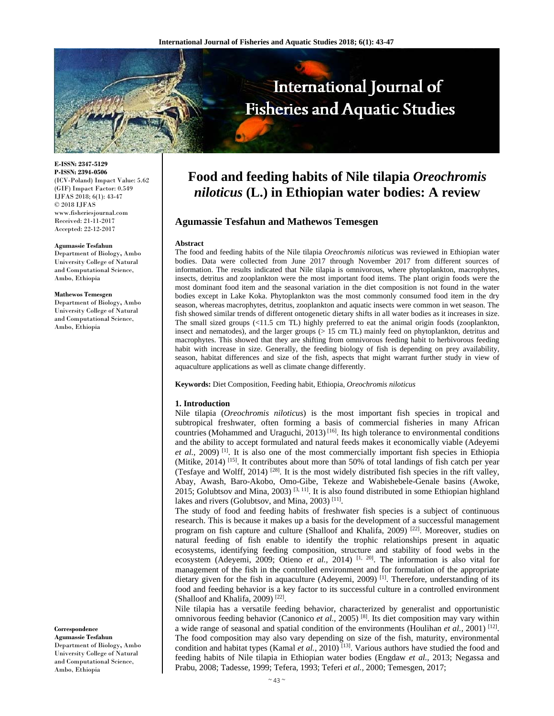

**E-ISSN: 2347-5129 P-ISSN: 2394-0506**  (ICV-Poland) Impact Value: 5.62 (GIF) Impact Factor: 0.549 IJFAS 2018; 6(1): 43-47  $\odot$  2018 IJFAS www.fisheriesjournal.com Received: 21-11-2017 Accepted: 22-12-2017

#### **Agumassie Tesfahun**

Department of Biology**,** Ambo University College of Natural and Computational Science, Ambo, Ethiopia

#### **Mathewos Temesgen**

Department of Biology**,** Ambo University College of Natural and Computational Science, Ambo, Ethiopia

**Correspondence** 

**Agumassie Tesfahun**  Department of Biology**,** Ambo University College of Natural and Computational Science, Ambo, Ethiopia

# **Food and feeding habits of Nile tilapia** *Oreochromis niloticus* **(L.) in Ethiopian water bodies: A review**

# **Agumassie Tesfahun and Mathewos Temesgen**

#### **Abstract**

The food and feeding habits of the Nile tilapia *Oreochromis niloticus* was reviewed in Ethiopian water bodies. Data were collected from June 2017 through November 2017 from different sources of information. The results indicated that Nile tilapia is omnivorous, where phytoplankton, macrophytes, insects, detritus and zooplankton were the most important food items. The plant origin foods were the most dominant food item and the seasonal variation in the diet composition is not found in the water bodies except in Lake Koka. Phytoplankton was the most commonly consumed food item in the dry season, whereas macrophytes, detritus, zooplankton and aquatic insects were common in wet season. The fish showed similar trends of different ontogenetic dietary shifts in all water bodies as it increases in size. The small sized groups (<11.5 cm TL) highly preferred to eat the animal origin foods (zooplankton, insect and nematodes), and the larger groups (> 15 cm TL) mainly feed on phytoplankton, detritus and macrophytes. This showed that they are shifting from omnivorous feeding habit to herbivorous feeding habit with increase in size. Generally, the feeding biology of fish is depending on prey availability, season, habitat differences and size of the fish, aspects that might warrant further study in view of aquaculture applications as well as climate change differently.

**Keywords:** Diet Composition, Feeding habit, Ethiopia, *Oreochromis niloticus*

#### **1. Introduction**

Nile tilapia (*Oreochromis niloticus*) is the most important fish species in tropical and subtropical freshwater, often forming a basis of commercial fisheries in many African countries (Mohammed and Uraguchi,  $2013$ )<sup>[16]</sup>. Its high tolerance to environmental conditions and the ability to accept formulated and natural feeds makes it economically viable (Adeyemi et al., 2009)<sup>[1]</sup>. It is also one of the most commercially important fish species in Ethiopia (Mitike, 2014) [15]. It contributes about more than 50% of total landings of fish catch per year (Tesfaye and Wolff, 2014) [28]. It is the most widely distributed fish species in the rift valley, Abay, Awash, Baro-Akobo, Omo-Gibe, Tekeze and Wabishebele-Genale basins (Awoke, 2015; Golubtsov and Mina, 2003)  $[3, 11]$ . It is also found distributed in some Ethiopian highland lakes and rivers (Golubtsov, and Mina, 2003)<sup>[11]</sup>.

The study of food and feeding habits of freshwater fish species is a subject of continuous research. This is because it makes up a basis for the development of a successful management program on fish capture and culture (Shalloof and Khalifa, 2009)<sup>[22]</sup>. Moreover, studies on natural feeding of fish enable to identify the trophic relationships present in aquatic ecosystems, identifying feeding composition, structure and stability of food webs in the ecosystem (Adeyemi, 2009; Otieno *et al.*, 2014) <sup>[1, 20]</sup>. The information is also vital for management of the fish in the controlled environment and for formulation of the appropriate dietary given for the fish in aquaculture (Adeyemi, 2009)<sup>[1]</sup>. Therefore, understanding of its food and feeding behavior is a key factor to its successful culture in a controlled environment (Shalloof and Khalifa, 2009)<sup>[22]</sup>.

Nile tilapia has a versatile feeding behavior, characterized by generalist and opportunistic omnivorous feeding behavior (Canonico *et al.,* 2005) [8]. Its diet composition may vary within a wide range of seasonal and spatial condition of the environments (Houlihan *et al.,* 2001) [12]. The food composition may also vary depending on size of the fish, maturity, environmental condition and habitat types (Kamal *et al.*, 2010)<sup>[13]</sup>. Various authors have studied the food and feeding habits of Nile tilapia in Ethiopian water bodies (Engdaw *et al.,* 2013; Negassa and Prabu, 2008; Tadesse, 1999; Tefera, 1993; Teferi *et al.,* 2000; Temesgen, 2017;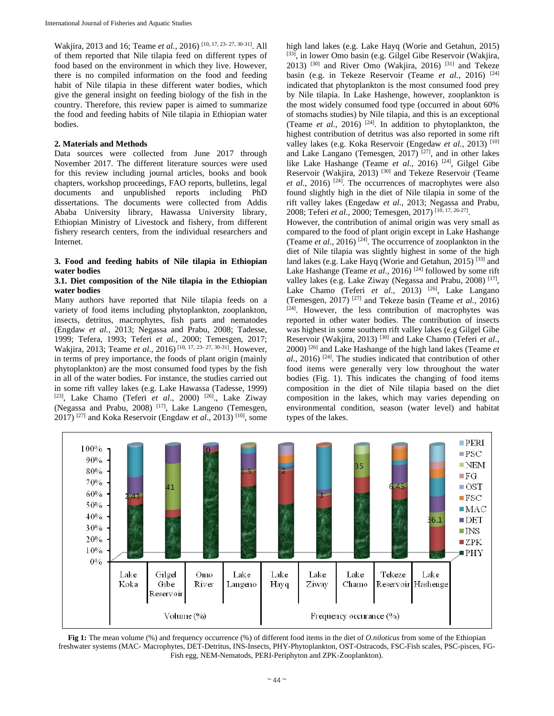Wakjira, 2013 and 16; Teame *et al.,* 2016) [10, 17, 23- 27, 30-31]. All of them reported that Nile tilapia feed on different types of food based on the environment in which they live. However, there is no compiled information on the food and feeding habit of Nile tilapia in these different water bodies, which give the general insight on feeding biology of the fish in the country. Therefore, this review paper is aimed to summarize the food and feeding habits of Nile tilapia in Ethiopian water bodies.

## **2. Materials and Methods**

Data sources were collected from June 2017 through November 2017. The different literature sources were used for this review including journal articles, books and book chapters, workshop proceedings, FAO reports, bulletins, legal documents and unpublished reports including PhD dissertations. The documents were collected from Addis Ababa University library, Hawassa University library, Ethiopian Ministry of Livestock and fishery, from different fishery research centers, from the individual researchers and Internet.

## **3. Food and feeding habits of Nile tilapia in Ethiopian water bodies**

## **3.1. Diet composition of the Nile tilapia in the Ethiopian water bodies**

Many authors have reported that Nile tilapia feeds on a variety of food items including phytoplankton, zooplankton, insects, detritus, macrophytes, fish parts and nematodes (Engdaw *et al.,* 2013; Negassa and Prabu, 2008; Tadesse, 1999; Tefera, 1993; Teferi *et al.,* 2000; Temesgen, 2017; Wakjira, 2013; Teame *et al.,* 2016) [10, 17, 23- 27, 30-31]. However, in terms of prey importance, the foods of plant origin (mainly phytoplankton) are the most consumed food types by the fish in all of the water bodies. For instance, the studies carried out in some rift valley lakes (e.g. Lake Hawassa (Tadesse, 1999) [23], Lake Chamo (Teferi *et al*., 2000) [26]., Lake Ziway (Negassa and Prabu, 2008) [17], Lake Langeno (Temesgen, 2017) [27] and Koka Reservoir (Engdaw *et al*., 2013) [10], some high land lakes (e.g. Lake Hayq (Worie and Getahun, 2015) [33], in lower Omo basin (e.g. Gilgel Gibe Reservoir (Wakjira, 2013)  $[30]$  and River Omo (Wakjira, 2016)  $[31]$  and Tekeze basin (e.g. in Tekeze Reservoir (Teame et al., 2016) <sup>[24]</sup> indicated that phytoplankton is the most consumed food prey by Nile tilapia. In Lake Hashenge, however, zooplankton is the most widely consumed food type (occurred in about 60% of stomachs studies) by Nile tilapia, and this is an exceptional (Teame *et al.*, 2016)<sup>[24]</sup>. In addition to phytoplankton, the highest contribution of detritus was also reported in some rift valley lakes (e.g. Koka Reservoir (Engedaw *et al.,* 2013) [10] and Lake Langano (Temesgen, 2017) [27], and in other lakes like Lake Hashange (Teame *et al.*, 2016)<sup>[24]</sup>, Gilgel Gibe Reservoir (Wakjira, 2013)<sup>[30]</sup> and Tekeze Reservoir (Teame *et al.,* 2016) [24]. The occurrences of macrophytes were also found slightly high in the diet of Nile tilapia in some of the rift valley lakes (Engedaw *et al.,* 2013; Negassa and Prabu, 2008; Teferi *et al.,* 2000; Temesgen, 2017) [10, 17, 26-27].

However, the contribution of animal origin was very small as compared to the food of plant origin except in Lake Hashange (Teame *et al.,* 2016) [24]. The occurrence of zooplankton in the diet of Nile tilapia was slightly highest in some of the high land lakes (e.g. Lake Hayq (Worie and Getahun, 2015)<sup>[33]</sup> and Lake Hashange (Teame *et al.*, 2016)<sup>[24]</sup> followed by some rift valley lakes (e.g. Lake Ziway (Negassa and Prabu, 2008) [17], Lake Chamo (Teferi et al., 2013) <sup>[26]</sup>, Lake Langano (Temesgen,  $2017$ )<sup>[27]</sup> and Tekeze basin (Teame *et al.*,  $2016$ ) [24]. However, the less contribution of macrophytes was reported in other water bodies. The contribution of insects was highest in some southern rift valley lakes (e.g Gilgel Gibe Reservoir (Wakjira, 2013)<sup>[30]</sup> and Lake Chamo (Teferi et al., 2000) [26] and Lake Hashange of the high land lakes (Teame *et al.,* 2016) [24]. The studies indicated that contribution of other food items were generally very low throughout the water bodies (Fig. 1). This indicates the changing of food items composition in the diet of Nile tilapia based on the diet composition in the lakes, which may varies depending on environmental condition, season (water level) and habitat types of the lakes.



**Fig 1:** The mean volume (%) and frequency occurrence (%) of different food items in the diet of *O.niloticus* from some of the Ethiopian freshwater systems (MAC- Macrophytes, DET-Detritus, INS-Insects, PHY-Phytoplankton, OST-Ostracods, FSC-Fish scales, PSC-pisces, FG-Fish egg, NEM-Nematods, PERI-Periphyton and ZPK-Zooplankton).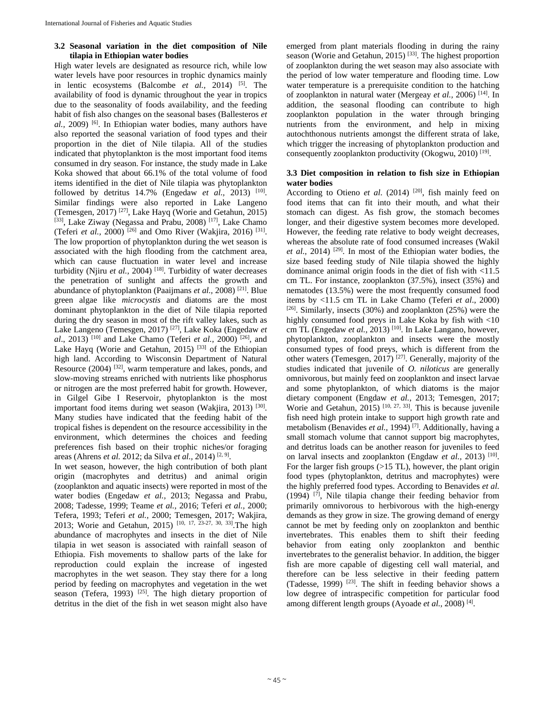# **3.2 Seasonal variation in the diet composition of Nile tilapia in Ethiopian water bodies**

High water levels are designated as resource rich, while low water levels have poor resources in trophic dynamics mainly in lentic ecosystems (Balcombe *et al.,* 2014) [5]. The availability of food is dynamic throughout the year in tropics due to the seasonality of foods availability, and the feeding habit of fish also changes on the seasonal bases (Ballesteros *et al.,* 2009) [6]. In Ethiopian water bodies, many authors have also reported the seasonal variation of food types and their proportion in the diet of Nile tilapia. All of the studies indicated that phytoplankton is the most important food items consumed in dry season. For instance, the study made in Lake Koka showed that about 66.1% of the total volume of food items identified in the diet of Nile tilapia was phytoplankton followed by detritus 14.7% (Engedaw *et al.*, 2013) <sup>[10]</sup>. Similar findings were also reported in Lake Langeno (Temesgen, 2017) <sup>[27]</sup>, Lake Hayq (Worie and Getahun, 2015) [33], Lake Ziway (Negassa and Prabu, 2008)<sup>[17]</sup>, Lake Chamo (Teferi *et al.,* 2000) [26] and Omo River (Wakjira, 2016) [31]. The low proportion of phytoplankton during the wet season is associated with the high flooding from the catchment area, which can cause fluctuation in water level and increase turbidity (Njiru et al., 2004)<sup>[18]</sup>. Turbidity of water decreases the penetration of sunlight and affects the growth and abundance of phytoplankton (Paaijmans *et al.,* 2008) [21]. Blue green algae like *microcystis* and diatoms are the most dominant phytoplankton in the diet of Nile tilapia reported during the dry season in most of the rift valley lakes, such as Lake Langeno (Temesgen, 2017) [27], Lake Koka (Engedaw *et al*., 2013) [10] and Lake Chamo (Teferi *et al.,* 2000) [26], and Lake Hayq (Worie and Getahun, 2015)<sup>[33]</sup> of the Ethiopian high land. According to Wisconsin Department of Natural Resource (2004) [32], warm temperature and lakes, ponds, and slow-moving streams enriched with nutrients like phosphorus or nitrogen are the most preferred habit for growth. However, in Gilgel Gibe I Reservoir, phytoplankton is the most important food items during wet season (Wakjira, 2013) [30]. Many studies have indicated that the feeding habit of the tropical fishes is dependent on the resource accessibility in the environment, which determines the choices and feeding preferences fish based on their trophic niches/or foraging areas (Ahrens *et al.* 2012; da Silva *et al.,* 2014) [2, 9].

In wet season, however, the high contribution of both plant origin (macrophytes and detritus) and animal origin (zooplankton and aquatic insects) were reported in most of the water bodies (Engedaw *et al.,* 2013; Negassa and Prabu, 2008; Tadesse, 1999; Teame *et al.,* 2016; Teferi *et al.,* 2000; Tefera, 1993; Teferi *et al.,* 2000; Temesgen, 2017; Wakjira, 2013; Worie and Getahun, 2015) [10, 17, 23-27, 30, 33]. The high abundance of macrophytes and insects in the diet of Nile tilapia in wet season is associated with rainfall season of Ethiopia. Fish movements to shallow parts of the lake for reproduction could explain the increase of ingested macrophytes in the wet season. They stay there for a long period by feeding on macrophytes and vegetation in the wet season (Tefera, 1993)  $^{[25]}$ . The high dietary proportion of detritus in the diet of the fish in wet season might also have

emerged from plant materials flooding in during the rainy season (Worie and Getahun, 2015)<sup>[33]</sup>. The highest proportion of zooplankton during the wet season may also associate with the period of low water temperature and flooding time. Low water temperature is a prerequisite condition to the hatching of zooplankton in natural water (Mergeay *et al.,* 2006) [14]. In addition, the seasonal flooding can contribute to high zooplankton population in the water through bringing nutrients from the environment, and help in mixing autochthonous nutrients amongst the different strata of lake, which trigger the increasing of phytoplankton production and consequently zooplankton productivity (Okogwu, 2010) [19].

# **3.3 Diet composition in relation to fish size in Ethiopian water bodies**

According to Otieno et al. (2014) <sup>[20]</sup>, fish mainly feed on food items that can fit into their mouth, and what their stomach can digest. As fish grow, the stomach becomes longer, and their digestive system becomes more developed. However, the feeding rate relative to body weight decreases, whereas the absolute rate of food consumed increases (Wakil *et al.,* 2014) [29]. In most of the Ethiopian water bodies, the size based feeding study of Nile tilapia showed the highly dominance animal origin foods in the diet of fish with <11.5 cm TL. For instance, zooplankton (37.5%), insect (35%) and nematodes (13.5%) were the most frequently consumed food items by <11.5 cm TL in Lake Chamo (Teferi *et al*., 2000)  $[26]$ . Similarly, insects (30%) and zooplankton (25%) were the highly consumed food preys in Lake Koka by fish with  $\langle 10 \rangle$ cm TL (Engedaw *et al.*, 2013)<sup>[10]</sup>. In Lake Langano, however, phytoplankton, zooplankton and insects were the mostly consumed types of food preys, which is different from the other waters (Temesgen,  $2017$ )<sup>[27]</sup>. Generally, majority of the studies indicated that juvenile of *O. niloticus* are generally omnivorous, but mainly feed on zooplankton and insect larvae and some phytoplankton, of which diatoms is the major dietary component (Engdaw *et al.,* 2013; Temesgen, 2017; Worie and Getahun,  $2015$ )  $[10, 27, 33]$ . This is because juvenile fish need high protein intake to support high growth rate and metabolism (Benavides *et al.,* 1994) [7]. Additionally, having a small stomach volume that cannot support big macrophytes, and detritus loads can be another reason for juveniles to feed on larval insects and zooplankton (Engdaw *et al.,* 2013) [10]. For the larger fish groups (>15 TL), however, the plant origin food types (phytoplankton, detritus and macrophytes) were the highly preferred food types. According to Benavides *et al.*  $(1994)$ <sup>[7]</sup>, Nile tilapia change their feeding behavior from primarily omnivorous to herbivorous with the high-energy demands as they grow in size. The growing demand of energy cannot be met by feeding only on zooplankton and benthic invertebrates. This enables them to shift their feeding behavior from eating only zooplankton and benthic invertebrates to the generalist behavior. In addition, the bigger fish are more capable of digesting cell wall material, and therefore can be less selective in their feeding pattern (Tadesse, 1999)  $[23]$ . The shift in feeding behavior shows a low degree of intraspecific competition for particular food among different length groups (Ayoade *et al.,* 2008) [4].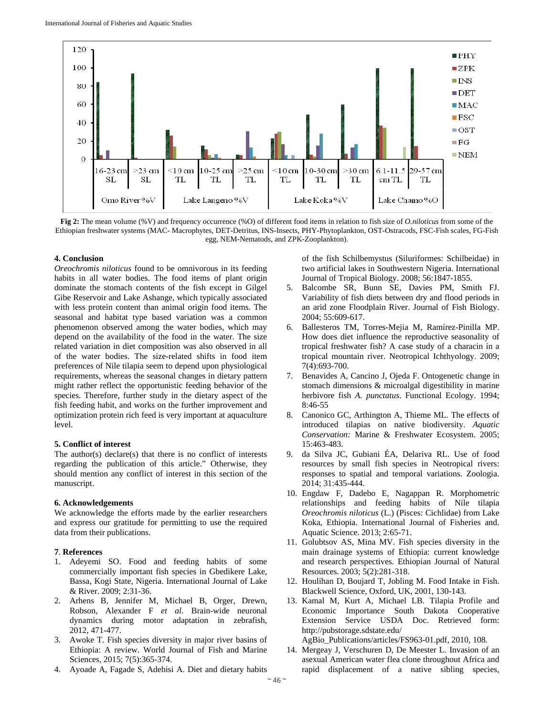

**Fig 2:** The mean volume (%V) and frequency occurrence (%O) of different food items in relation to fish size of *O.niloticus* from some of the Ethiopian freshwater systems (MAC- Macrophytes, DET-Detritus, INS-Insects, PHY-Phytoplankton, OST-Ostracods, FSC-Fish scales, FG-Fish egg, NEM-Nematods, and ZPK-Zooplankton).

## **4. Conclusion**

*Oreochromis niloticus* found to be omnivorous in its feeding habits in all water bodies. The food items of plant origin dominate the stomach contents of the fish except in Gilgel Gibe Reservoir and Lake Ashange, which typically associated with less protein content than animal origin food items. The seasonal and habitat type based variation was a common phenomenon observed among the water bodies, which may depend on the availability of the food in the water. The size related variation in diet composition was also observed in all of the water bodies. The size-related shifts in food item preferences of Nile tilapia seem to depend upon physiological requirements, whereas the seasonal changes in dietary pattern might rather reflect the opportunistic feeding behavior of the species. Therefore, further study in the dietary aspect of the fish feeding habit, and works on the further improvement and optimization protein rich feed is very important at aquaculture level.

#### **5. Conflict of interest**

The author(s) declare(s) that there is no conflict of interests regarding the publication of this article." Otherwise, they should mention any conflict of interest in this section of the manuscript.

#### **6. Acknowledgements**

We acknowledge the efforts made by the earlier researchers and express our gratitude for permitting to use the required data from their publications.

# **7**. **References**

- 1. Adeyemi SO. Food and feeding habits of some commercially important fish species in Gbedikere Lake, Bassa, Kogi State, Nigeria. International Journal of Lake & River. 2009; 2:31-36.
- 2. Arhens B, Jennifer M, Michael B, Orger, Drewn, Robson, Alexander F *et al*. Brain-wide neuronal dynamics during motor adaptation in zebrafish, 2012, 471-477.
- 3. Awoke T. Fish species diversity in major river basins of Ethiopia: A review. World Journal of Fish and Marine Sciences, 2015; 7(5):365-374.
- 4. Ayoade A, Fagade S, Adebisi A. Diet and dietary habits

of the fish Schilbemystus (Siluriformes: Schilbeidae) in two artificial lakes in Southwestern Nigeria. International Journal of Tropical Biology. 2008; 56:1847-1855.

- 5. Balcombe SR, Bunn SE, Davies PM, Smith FJ. Variability of fish diets between dry and flood periods in an arid zone Floodplain River. Journal of Fish Biology. 2004; 55:609-617.
- 6. Ballesteros TM, Torres-Mejia M, Ramírez-Pinilla MP. How does diet influence the reproductive seasonality of tropical freshwater fish? A case study of a characin in a tropical mountain river. Neotropical Ichthyology. 2009; 7(4):693-700.
- 7. Benavides A, Cancino J, Ojeda F. Ontogenetic change in stomach dimensions & microalgal digestibility in marine herbivore fish *A. punctatus*. Functional Ecology. 1994; 8:46-55
- Canonico GC, Arthington A, Thieme ML. The effects of introduced tilapias on native biodiversity. *Aquatic Conservation:* Marine & Freshwater Ecosystem. 2005; 15:463-483.
- 9. da Silva JC, Gubiani ÉA, Delariva RL. Use of food resources by small fish species in Neotropical rivers: responses to spatial and temporal variations. Zoologia. 2014; 31:435-444.
- 10. Engdaw F, Dadebo E, Nagappan R. Morphometric relationships and feeding habits of Nile tilapia *Oreochromis niloticus* (L.) (Pisces: Cichlidae) from Lake Koka, Ethiopia. International Journal of Fisheries and. Aquatic Science. 2013; 2:65-71.
- 11. Golubtsov AS, Mina MV. Fish species diversity in the main drainage systems of Ethiopia: current knowledge and research perspectives. Ethiopian Journal of Natural Resources. 2003; 5(2):281-318.
- 12. Houlihan D, Boujard T, Jobling M. Food Intake in Fish. Blackwell Science, Oxford, UK, 2001, 130-143.
- 13. Kamal M, Kurt A, Michael LB. Tilapia Profile and Economic Importance South Dakota Cooperative Extension Service USDA Doc. Retrieved form: http://pubstorage.sdstate.edu/ AgBio\_Publications/articles/FS963-01.pdf, 2010, 108*.*
- 14. Mergeay J, Verschuren D, De Meester L. Invasion of an asexual American water flea clone throughout Africa and rapid displacement of a native sibling species,